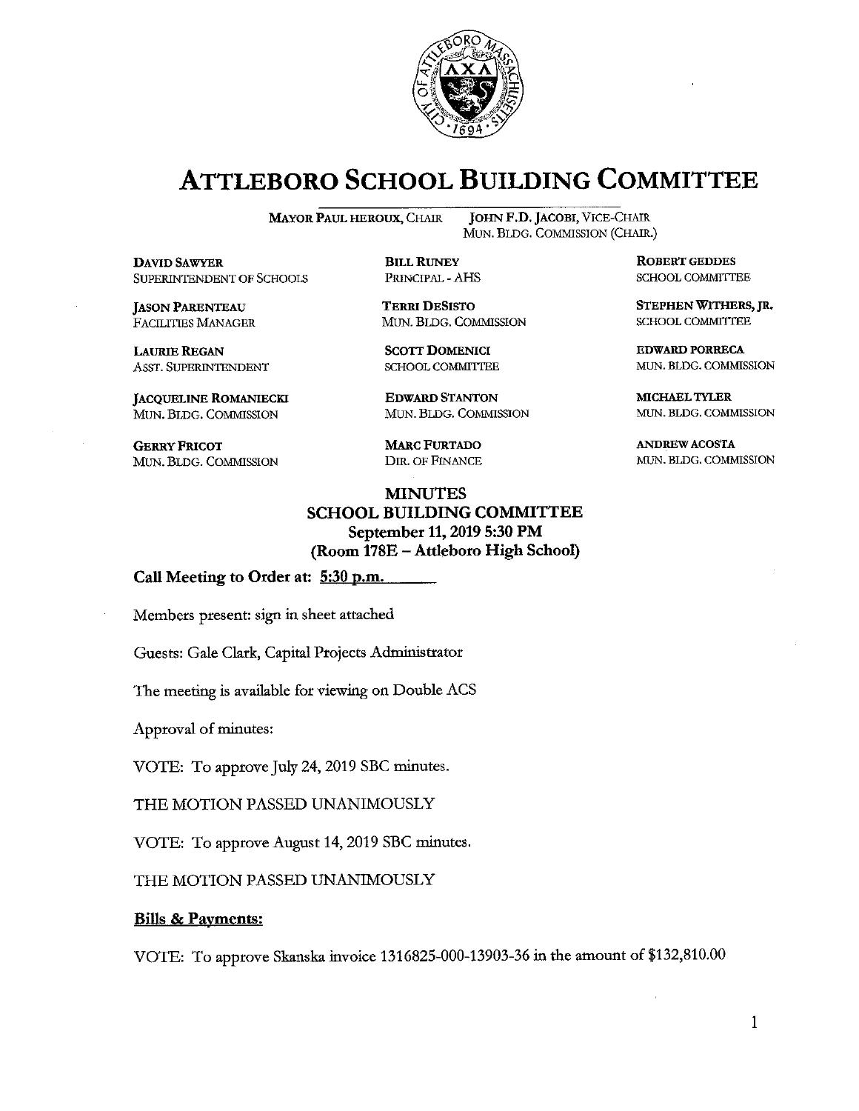

## **ATTLEBORO SCHOOL BUILDING COMMITTEE**

**BILL RUNEY** 

PRINCIPAL - AHS

**TERRI DESISTO** 

**SCOTT DOMENICI** 

SCHOOL COMMITTEE

**EDWARD STANTON** 

**MARC FURTADO** 

DIR. OF FINANCE

MUN. BLDG. COMMISSION

MUN. BLDG, COMMISSION

**MAYOR PAUL HEROUX, CHAIR** 

**DAVID SAWYER** SUPERINTENDENT OF SCHOOLS

**JASON PARENTEAU** FACILITIES MANAGER

**LAURIE REGAN** ASST. SUPERINTENDENT

**JACQUELINE ROMANIECKI** MUN. BLDG. COMMISSION

**GERRY FRICOT** MUN. BLDG. COMMISSION

JOHN F.D. JACOBI, VICE-CHAIR MUN. BLDG. COMMISSION (CHAIR.)

> **ROBERT GEDDES** SCHOOL COMMITTEE

STEPHEN WITHERS, JR. SCHOOL COMMITTEE

**EDWARD PORRECA** MUN. BLDG. COMMISSION

MICHAEL TYLER MUN. BLDG. COMMISSION

**ANDREW ACOSTA** MUN. BLDG. COMMISSION

**MINUTES SCHOOL BUILDING COMMITTEE** September 11, 2019 5:30 PM (Room 178E - Attleboro High School)

Call Meeting to Order at: 5:30 p.m.

Members present: sign in sheet attached

Guests: Gale Clark, Capital Projects Administrator

The meeting is available for viewing on Double ACS

Approval of minutes:

VOTE: To approve July 24, 2019 SBC minutes.

THE MOTION PASSED UNANIMOUSLY

VOTE: To approve August 14, 2019 SBC minutes.

THE MOTION PASSED UNANIMOUSLY

#### **Bills & Payments:**

VOTE: To approve Skanska invoice 1316825-000-13903-36 in the amount of \$132,810.00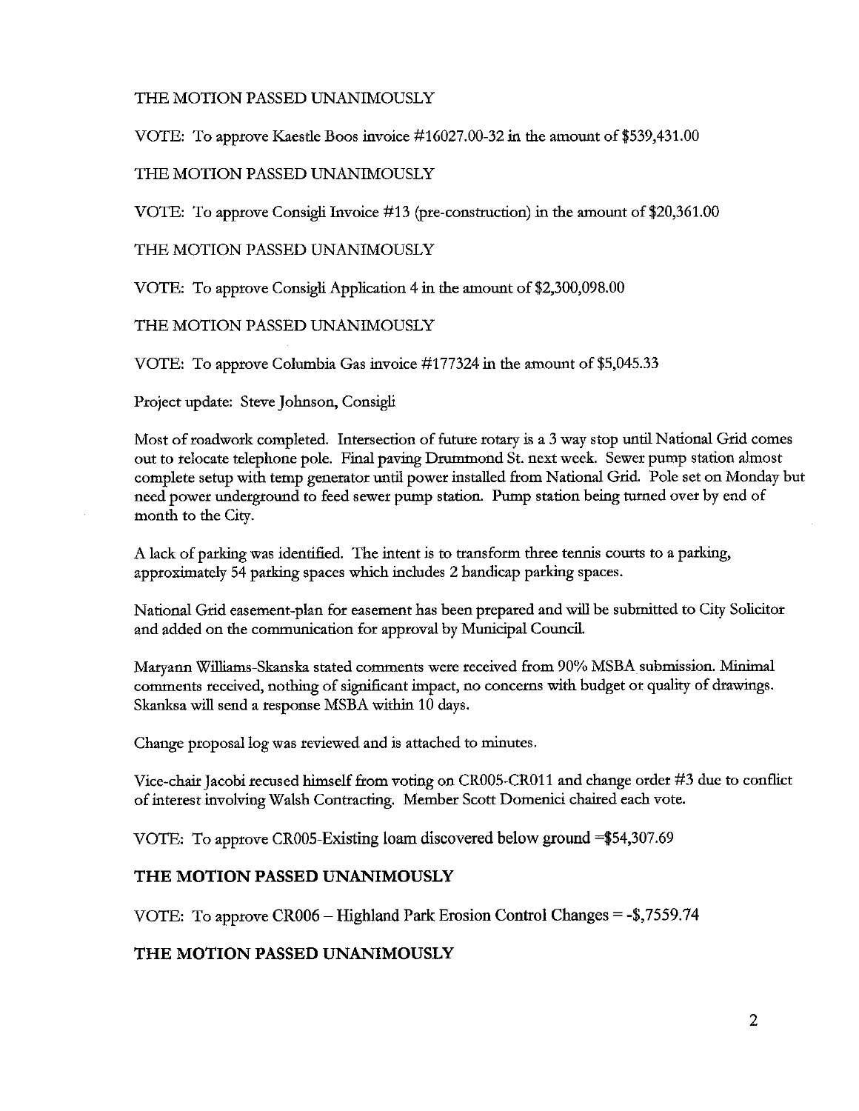#### THE MOTION PASSED UNANIMOUSLY

VOTE: To approve Kaestle Boos invoice  $\#16027.00-32$  in the amount of \$539,431.00

#### THE MOTION PASSED UNANIMOUSLY

VOTE: To approve Consigli Invoice #13 (pre-construction) in the amount of \$20,361.00

THE MOTION PASSED UNANIMOUSLY

VOTE: To approve Consigli Application 4 in the amount of \$2,300,098.00

THE MOTION PASSED UNANIMOUSLY

VOTE: To approve Columbia Gas invoice #177324 in the amount of \$5,045.33

Project update: Steve Johnson, Consigli

Most of roadwork completed. Intersection of future rotary is a 3 way stop until National Grid comes out to relocate telephone pole. Final paving Drummond St. next week. Sewer pump station almost complete setup with temp generator until power installed from National Grid. Pole set on Monday but need power underground to feed sewer pump station. Pump station being turned over by end of month to the City.

A lack of parking was identified. The intent is to transform three tennis courts to a parking, approximately 54 parking spaces which includes 2 handicap parking spaces.

National Grid easement-plan for easement has been prepared and will be submitted to City Solicitor and added on the communication for approval by Municipal Council.

Maryann Williams-Skanska stated comments were received from 90% MSBA submission. Minimal comments received, nothing of significant impact, no concerns with budget or quality of drawings. Skanksa will send a response MSBA within 10 days.

Change proposal log was reviewed and is attached to minutes.

Vice-chair Jacobi recused himself from voting on CR005-CR011 and change order #3 due to conflict of interest involving Walsh Contracting. Member Scott Domenici chaired each vote.

VOTE: To approve CR005-Existing loam discovered below ground  $=\$54,307.69$ 

#### THE MOTION PASSED UNANIMOUSLY

VOTE: To approve CR006 – Highland Park Erosion Control Changes =  $-$ \$,7559.74

#### THE MOTION PASSED UNANIMOUSLY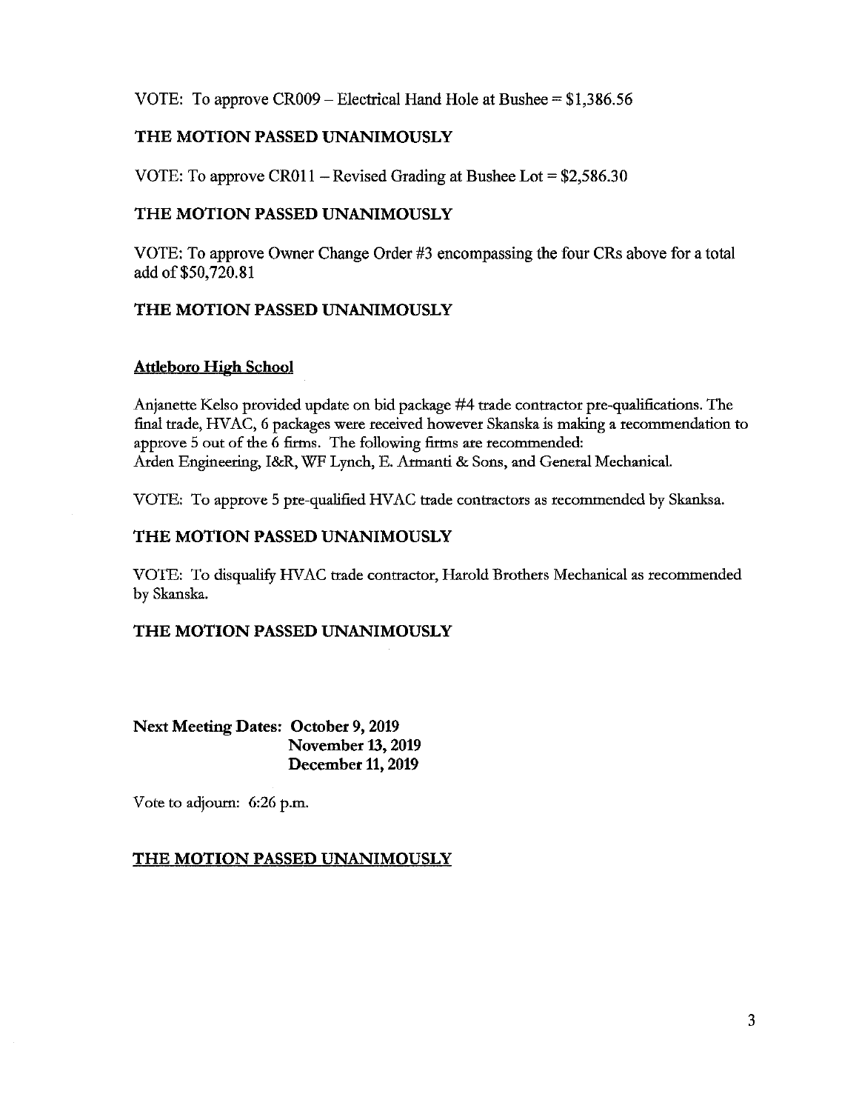VOTE: To approve  $CR009 - Electrical$  Hand Hole at Bushee = \$1,386.56

#### THE MOTION PASSED UNANIMOUSLY

VOTE: To approve CR011 – Revised Grading at Bushee Lot =  $$2,586.30$ 

#### THE MOTION PASSED UNANIMOUSLY

VOTE: To approve Owner Change Order #3 encompassing the four CRs above for a total add of \$50,720.81

### THE MOTION PASSED UNANIMOUSLY

#### **Attleboro High School**

Anjanette Kelso provided update on bid package #4 trade contractor pre-qualifications. The final trade, HVAC, 6 packages were received however Skanska is making a recommendation to approve 5 out of the 6 firms. The following firms are recommended: Arden Engineering, I&R, WF Lynch, E. Armanti & Sons, and General Mechanical.

VOTE: To approve 5 pre-qualified HVAC trade contractors as recommended by Skanksa.

#### THE MOTION PASSED UNANIMOUSLY

VOTE: To disqualify HVAC trade contractor, Harold Brothers Mechanical as recommended by Skanska.

#### THE MOTION PASSED UNANIMOUSLY

**Next Meeting Dates: October 9, 2019 November 13, 2019** December 11, 2019

Vote to adjourn: 6:26 p.m.

### **THE MOTION PASSED UNANIMOUSLY**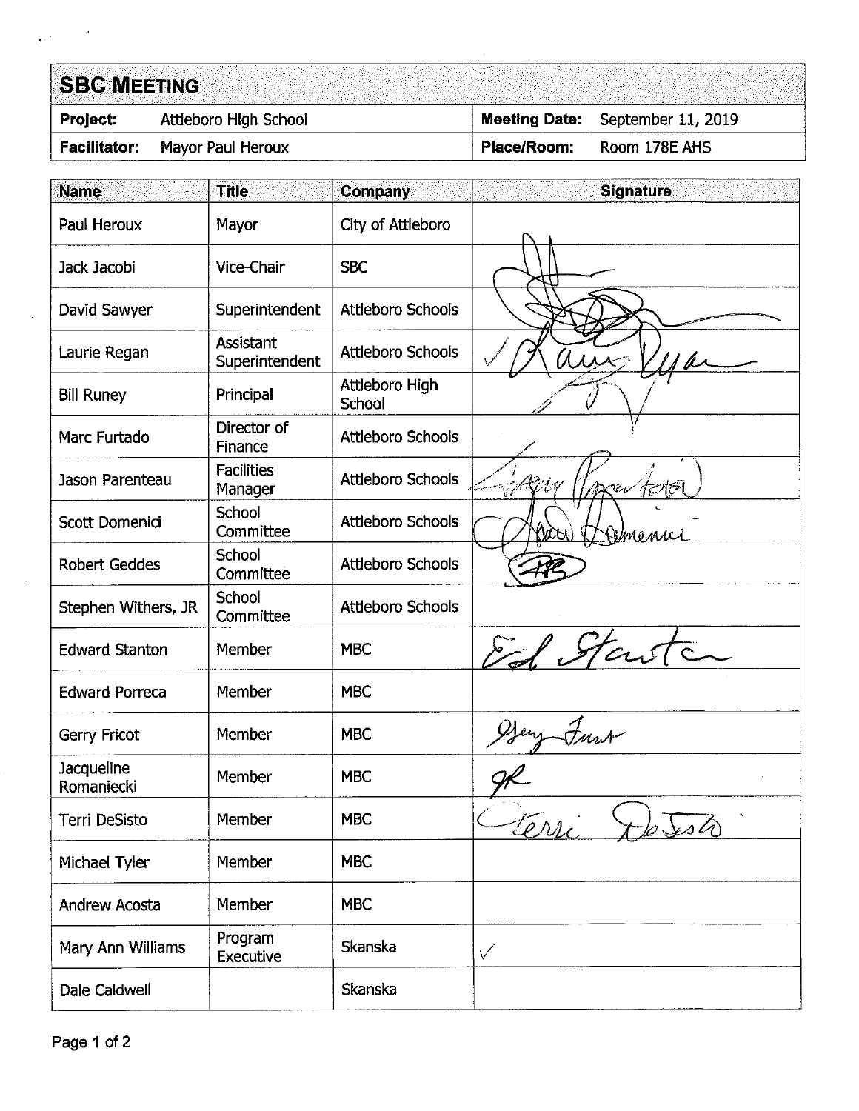#### **SBC MEETING** Attleboro High School September 11, 2019 Project: **Meeting Date: Facilitator:** Mayor Paul Heroux Place/Room: Room 178E AHS

| <b>Name</b>              | <b>Title</b>                       | <b>Company</b>           | <b>Signature</b> |
|--------------------------|------------------------------------|--------------------------|------------------|
| Paul Heroux              | Mayor                              | City of Attleboro        |                  |
| Jack Jacobi              | Vice-Chair                         | <b>SBC</b>               |                  |
| David Sawyer             | Superintendent                     | <b>Attleboro Schools</b> |                  |
| Laurie Regan             | <b>Assistant</b><br>Superintendent | <b>Attleboro Schools</b> |                  |
| <b>Bill Runey</b>        | Principal                          | Attleboro High<br>School |                  |
| Marc Furtado             | Director of<br>Finance             | <b>Attleboro Schools</b> |                  |
| Jason Parenteau          | <b>Facilities</b><br>Manager       | <b>Attleboro Schools</b> |                  |
| Scott Domenici           | <b>School</b><br>Committee         | <b>Attleboro Schools</b> | sinenici         |
| <b>Robert Geddes</b>     | School<br>Committee                | <b>Attleboro Schools</b> |                  |
| Stephen Withers, JR      | School<br>Committee                | <b>Attleboro Schools</b> |                  |
| <b>Edward Stanton</b>    | Member                             | <b>MBC</b>               | El Stars         |
| <b>Edward Porreca</b>    | Member                             | <b>MBC</b>               |                  |
| Gerry Fricot             | Member                             | <b>MBC</b>               |                  |
| Jacqueline<br>Romaniecki | Member                             | <b>MBC</b>               |                  |
| Terri DeSisto            | Member                             | <b>MBC</b>               | terri            |
| Michael Tyler            | Member                             | <b>MBC</b>               |                  |
| <b>Andrew Acosta</b>     | Member                             | <b>MBC</b>               |                  |
| Mary Ann Williams        | Program<br><b>Executive</b>        | Skanska                  | $\checkmark$     |
| Dale Caldwell            |                                    | Skanska                  |                  |

 $\frac{1}{\mathbf{R}}\mathbf{e}^{(1)}$  .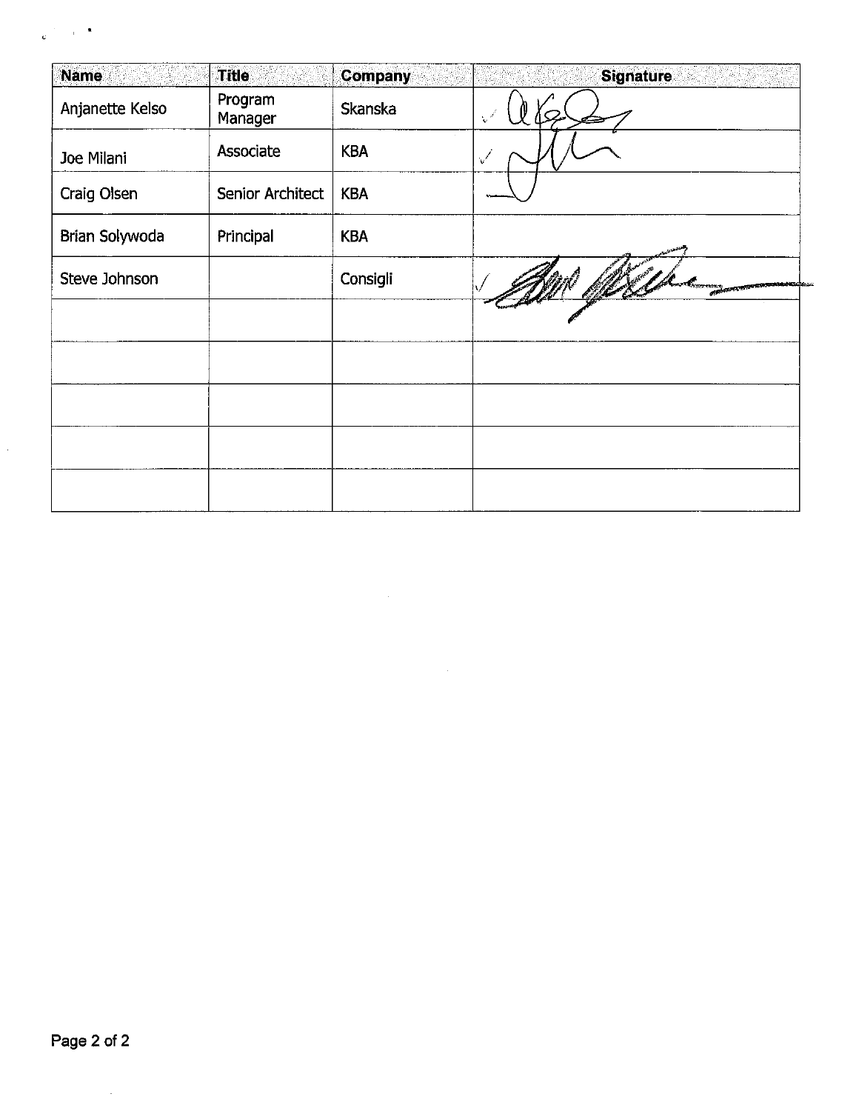| <b>Name</b>     | <b>Title</b>       | <b>Company</b> | <b>Signature</b>                                |
|-----------------|--------------------|----------------|-------------------------------------------------|
| Anjanette Kelso | Program<br>Manager | Skanska        | $\mathbf{v}^{\prime}$                           |
| Joe Milani      | Associate          | <b>KBA</b>     | √                                               |
| Craig Olsen     | Senior Architect   | <b>KBA</b>     |                                                 |
| Brian Solywoda  | Principal          | <b>KBA</b>     |                                                 |
| Steve Johnson   |                    | Consigli       | <b>TOTAL RESOLUTION CONTINUES IN THE TWO OF</b> |
|                 |                    |                |                                                 |
|                 |                    |                |                                                 |
|                 |                    |                |                                                 |
|                 |                    |                |                                                 |
|                 |                    |                |                                                 |

 $\sim 10$ 

 $\bar{z}$ 

 $\frac{1}{\mathcal{L}_\text{max}}$  ,  $\frac{1}{\mathcal{L}_\text{max}}$